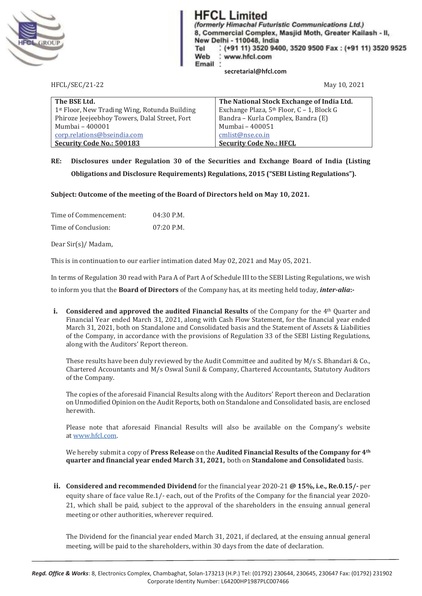

**HFCL Limited** 

(formerly Himachal Futuristic Communications Ltd.) 8, Commercial Complex, Masjid Moth, Greater Kailash - II, New Delhi - 110048, India Tel (+91 11) 3520 9400, 3520 9500 Fax: (+91 11) 3520 9525 Web www.hfcl.com Email  **secretarial@hfcl.com** 

HFCL/SEC/21-22 May 10, 2021

| The BSE Ltd.                                  | The National Stock Exchange of India Ltd.             |
|-----------------------------------------------|-------------------------------------------------------|
| 1st Floor, New Trading Wing, Rotunda Building | Exchange Plaza, 5 <sup>th</sup> Floor, C - 1, Block G |
| Phiroze Jeejeebhoy Towers, Dalal Street, Fort | Bandra - Kurla Complex, Bandra (E)                    |
| Mumbai - 400001                               | Mumbai - 400051                                       |
| corp.relations@bseindia.com                   | cmlist@nse.co.in                                      |
| <b>Security Code No.: 500183</b>              | <b>Security Code No.: HFCL</b>                        |

# **RE: Disclosures under Regulation 30 of the Securities and Exchange Board of India (Listing Obligations and Disclosure Requirements) Regulations, 2015 ("SEBI Listing Regulations").**

**Subject: Outcome of the meeting of the Board of Directors held on May 10, 2021.** 

| Time of Commencement: | $04:30$ P.M. |
|-----------------------|--------------|
| Time of Conclusion:   | 07:20 P.M.   |

Dear Sir(s)/ Madam,

This is in continuation to our earlier intimation dated May 02, 2021 and May 05, 2021.

In terms of Regulation 30 read with Para A of Part A of Schedule III to the SEBI Listing Regulations, we wish

to inform you that the Board of Directors of the Company has, at its meeting held today, *inter-alia*:-

**i. Considered and approved the audited Financial Results** of the Company for the 4<sup>th</sup> Quarter and Financial Year ended March 31, 2021, along with Cash Flow Statement, for the financial year ended March 31, 2021, both on Standalone and Consolidated basis and the Statement of Assets & Liabilities of the Company, in accordance with the provisions of Regulation 33 of the SEBI Listing Regulations, along with the Auditors' Report thereon.

These results have been duly reviewed by the Audit Committee and audited by M/s S. Bhandari & Co., Chartered Accountants and M/s Oswal Sunil & Company, Chartered Accountants, Statutory Auditors of the Company.

The copies of the aforesaid Financial Results along with the Auditors' Report thereon and Declaration on Unmodified Opinion on the Audit Reports, both on Standalone and Consolidated basis, are enclosed herewith.

Please note that aforesaid Financial Results will also be available on the Company's website at www.hfcl.com.

We hereby submit a copy of Press Release on the Audited Financial Results of the Company for 4<sup>th</sup> **quarter and financial year ended March 31, 2021, both on Standalone and Consolidated** basis.

**ii. Considered and recommended Dividend** for the financial year 2020-21 @ 15%, i.e., Re.0.15/- per equity share of face value Re.1/- each, out of the Profits of the Company for the financial year 2020-21, which shall be paid, subject to the approval of the shareholders in the ensuing annual general meeting or other authorities, wherever required.

The Dividend for the financial year ended March 31, 2021, if declared, at the ensuing annual general meeting, will be paid to the shareholders, within 30 days from the date of declaration.